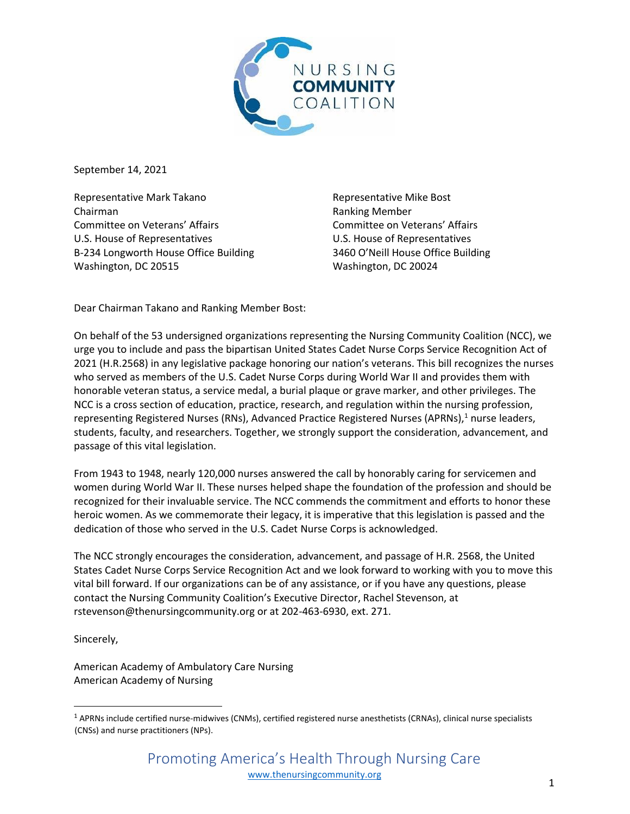

September 14, 2021

Representative Mark Takano Chairman Committee on Veterans' Affairs U.S. House of Representatives B-234 Longworth House Office Building Washington, DC 20515

Representative Mike Bost Ranking Member Committee on Veterans' Affairs U.S. House of Representatives 3460 O'Neill House Office Building Washington, DC 20024

Dear Chairman Takano and Ranking Member Bost:

On behalf of the 53 undersigned organizations representing the Nursing Community Coalition (NCC), we urge you to include and pass the bipartisan United States Cadet Nurse Corps Service Recognition Act of 2021 (H.R.2568) in any legislative package honoring our nation's veterans. This bill recognizes the nurses who served as members of the U.S. Cadet Nurse Corps during World War II and provides them with honorable veteran status, a service medal, a burial plaque or grave marker, and other privileges. The NCC is a cross section of education, practice, research, and regulation within the nursing profession, representing Registered Nurses (RNs), Advanced Practice Registered Nurses (APRNs),<sup>1</sup> nurse leaders, students, faculty, and researchers. Together, we strongly support the consideration, advancement, and passage of this vital legislation.

From 1943 to 1948, nearly 120,000 nurses answered the call by honorably caring for servicemen and women during World War II. These nurses helped shape the foundation of the profession and should be recognized for their invaluable service. The NCC commends the commitment and efforts to honor these heroic women. As we commemorate their legacy, it is imperative that this legislation is passed and the dedication of those who served in the U.S. Cadet Nurse Corps is acknowledged.

The NCC strongly encourages the consideration, advancement, and passage of H.R. 2568, the United States Cadet Nurse Corps Service Recognition Act and we look forward to working with you to move this vital bill forward. If our organizations can be of any assistance, or if you have any questions, please contact the Nursing Community Coalition's Executive Director, Rachel Stevenson, at rstevenson@thenursingcommunity.org or at 202-463-6930, ext. 271.

Sincerely,

American Academy of Ambulatory Care Nursing American Academy of Nursing

 $1$  APRNs include certified nurse-midwives (CNMs), certified registered nurse anesthetists (CRNAs), clinical nurse specialists (CNSs) and nurse practitioners (NPs).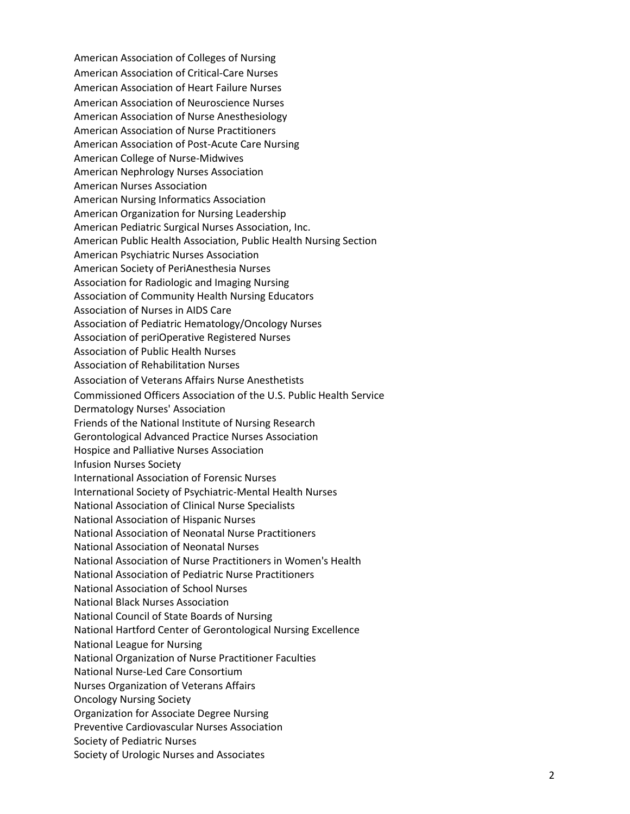American Association of Colleges of Nursing American Association of Critical-Care Nurses American Association of Heart Failure Nurses American Association of Neuroscience Nurses American Association of Nurse Anesthesiology American Association of Nurse Practitioners American Association of Post-Acute Care Nursing American College of Nurse-Midwives American Nephrology Nurses Association American Nurses Association American Nursing Informatics Association American Organization for Nursing Leadership American Pediatric Surgical Nurses Association, Inc. American Public Health Association, Public Health Nursing Section American Psychiatric Nurses Association American Society of PeriAnesthesia Nurses Association for Radiologic and Imaging Nursing Association of Community Health Nursing Educators Association of Nurses in AIDS Care Association of Pediatric Hematology/Oncology Nurses Association of periOperative Registered Nurses Association of Public Health Nurses Association of Rehabilitation Nurses Association of Veterans Affairs Nurse Anesthetists Commissioned Officers Association of the U.S. Public Health Service Dermatology Nurses' Association Friends of the National Institute of Nursing Research Gerontological Advanced Practice Nurses Association Hospice and Palliative Nurses Association Infusion Nurses Society International Association of Forensic Nurses International Society of Psychiatric-Mental Health Nurses National Association of Clinical Nurse Specialists National Association of Hispanic Nurses National Association of Neonatal Nurse Practitioners National Association of Neonatal Nurses National Association of Nurse Practitioners in Women's Health National Association of Pediatric Nurse Practitioners National Association of School Nurses National Black Nurses Association National Council of State Boards of Nursing National Hartford Center of Gerontological Nursing Excellence National League for Nursing National Organization of Nurse Practitioner Faculties National Nurse-Led Care Consortium Nurses Organization of Veterans Affairs Oncology Nursing Society Organization for Associate Degree Nursing Preventive Cardiovascular Nurses Association Society of Pediatric Nurses Society of Urologic Nurses and Associates